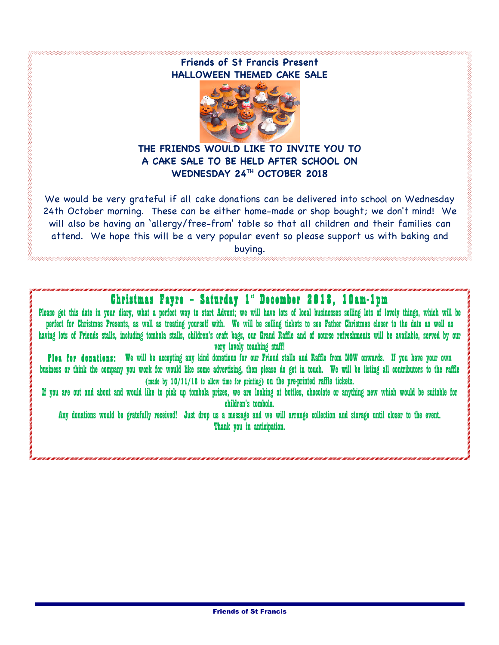### **Friends of St Francis Present HALLOWEEN THEMED CAKE SALE**



#### **THE FRIENDS WOULD LIKE TO INVITE YOU TO A CAKE SALE TO BE HELD AFTER SCHOOL ON WEDNESDAY 24TH OCTOBER 2018**

We would be very grateful if all cake donations can be delivered into school on Wednesday 24th October morning. These can be either home-made or shop bought; we don't mind! We will also be having an 'allergy/free-from' table so that all children and their families can attend. We hope this will be a very popular event so please support us with baking and buying.

## Christmas Fayre - Saturday 1" December 2018, 10am-1pm

Please get this date in your diary, what a perfect way to start Advent; we will have lots of local businesses selling lots of lovely things, which will be perfect for Christmas Presents, as well as treating yourself with. We will be selling tickets to see Father Christmas closer to the date as well as having lots of Friends stalls, including tombola stalls, children's craft bags, our Grand Raffle and of course refreshments will be available, served by our very lovely teaching staff!

Plea for donations: We will be accepting any kind donations for our Friend stalls and Raffle from NOW onwards. If you have your own business or think the company you work for would like some advertising, then please do get in touch. We will be listing all contributors to the raffle (made by 10/11/18 to allow time for printing) on the pre-printed raffle tickets.

If you are out and about and would like to pick up tombola prizes, we are looking at bottles, chocolate or anything new which would be suitable for children's tombola.

Any donations would be gratefully received! Just drop us a message and we will arrange collection and storage until closer to the event. Thank you in anticipation.